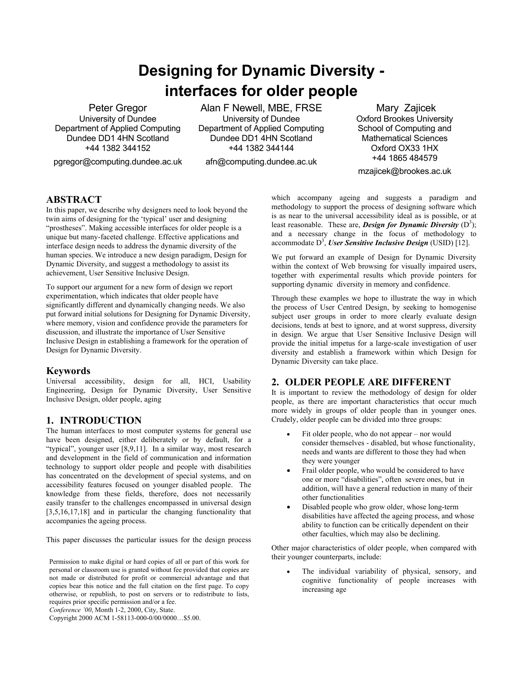# **Designing for Dynamic Diversity interfaces for older people**

Peter Gregor University of Dundee Department of Applied Computing Dundee DD1 4HN Scotland +44 1382 344152

pgregor@computing.dundee.ac.uk

Alan F Newell, MBE, FRSE University of Dundee Department of Applied Computing Dundee DD1 4HN Scotland +44 1382 344144

afn@computing.dundee.ac.uk

 Mary Zajicek Oxford Brookes University School of Computing and Mathematical Sciences Oxford OX33 1HX +44 1865 484579

mzajicek@brookes.ac.uk

#### **ABSTRACT**

In this paper, we describe why designers need to look beyond the twin aims of designing for the 'typical' user and designing "prostheses". Making accessible interfaces for older people is a unique but many-faceted challenge. Effective applications and interface design needs to address the dynamic diversity of the human species. We introduce a new design paradigm, Design for Dynamic Diversity, and suggest a methodology to assist its achievement, User Sensitive Inclusive Design.

To support our argument for a new form of design we report experimentation, which indicates that older people have significantly different and dynamically changing needs. We also put forward initial solutions for Designing for Dynamic Diversity, where memory, vision and confidence provide the parameters for discussion, and illustrate the importance of User Sensitive Inclusive Design in establishing a framework for the operation of Design for Dynamic Diversity.

#### **Keywords**

Universal accessibility, design for all, HCI, Usability Engineering, Design for Dynamic Diversity, User Sensitive Inclusive Design, older people, aging

# **1. INTRODUCTION**

The human interfaces to most computer systems for general use have been designed, either deliberately or by default, for a "typical", younger user [8,9,11]. In a similar way, most research and development in the field of communication and information technology to support older people and people with disabilities has concentrated on the development of special systems, and on accessibility features focused on younger disabled people. The knowledge from these fields, therefore, does not necessarily easily transfer to the challenges encompassed in universal design [3,5,16,17,18] and in particular the changing functionality that accompanies the ageing process.

This paper discusses the particular issues for the design process

their younger counterparts, include: Permission to make digital or hard copies of all or part of this work for personal or classroom use is granted without fee provided that copies are not made or distributed for profit or commercial advantage and that copies bear this notice and the full citation on the first page. To copy otherwise, or republish, to post on servers or to redistribute to lists, requires prior specific permission and/or a fee.

*Conference '00*, Month 1-2, 2000, City, State.

which accompany ageing and suggests a paradigm and methodology to support the process of designing software which is as near to the universal accessibility ideal as is possible, or at least reasonable. These are, *Design for Dynamic Diversity*  $(D^3)$ ; and a necessary change in the focus of methodology to accommodate D<sup>3</sup>, *User Sensitive Inclusive Design* (USID) [12].

We put forward an example of Design for Dynamic Diversity within the context of Web browsing for visually impaired users, together with experimental results which provide pointers for supporting dynamic diversity in memory and confidence.

Through these examples we hope to illustrate the way in which the process of User Centred Design, by seeking to homogenise subject user groups in order to more clearly evaluate design decisions, tends at best to ignore, and at worst suppress, diversity in design. We argue that User Sensitive Inclusive Design will provide the initial impetus for a large-scale investigation of user diversity and establish a framework within which Design for Dynamic Diversity can take place.

#### **2. OLDER PEOPLE ARE DIFFERENT**

It is important to review the methodology of design for older people, as there are important characteristics that occur much more widely in groups of older people than in younger ones. Crudely, older people can be divided into three groups:

- Fit older people, who do not appear nor would consider themselves - disabled, but whose functionality, needs and wants are different to those they had when they were younger
- Frail older people, who would be considered to have one or more "disabilities", often severe ones, but in addition, will have a general reduction in many of their other functionalities
- Disabled people who grow older, whose long-term disabilities have affected the ageing process, and whose ability to function can be critically dependent on their other faculties, which may also be declining.

Other major characteristics of older people, when compared with

The individual variability of physical, sensory, and cognitive functionality of people increases with increasing age

Copyright 2000 ACM 1-58113-000-0/00/0000…\$5.00.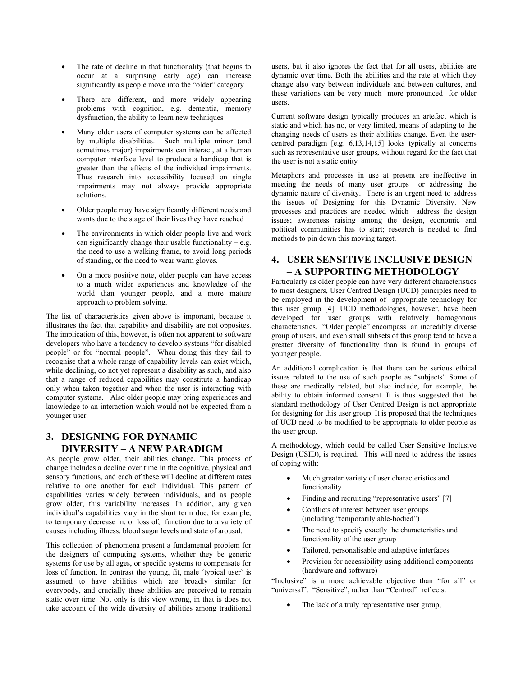- The rate of decline in that functionality (that begins to occur at a surprising early age) can increase significantly as people move into the "older" category
- There are different, and more widely appearing problems with cognition, e.g. dementia, memory dysfunction, the ability to learn new techniques
- Many older users of computer systems can be affected by multiple disabilities. Such multiple minor (and sometimes major) impairments can interact, at a human computer interface level to produce a handicap that is greater than the effects of the individual impairments. Thus research into accessibility focused on single impairments may not always provide appropriate solutions.
- Older people may have significantly different needs and wants due to the stage of their lives they have reached
- The environments in which older people live and work can significantly change their usable functionality – e.g. the need to use a walking frame, to avoid long periods of standing, or the need to wear warm gloves.
- On a more positive note, older people can have access to a much wider experiences and knowledge of the world than younger people, and a more mature approach to problem solving.

The list of characteristics given above is important, because it illustrates the fact that capability and disability are not opposites. The implication of this, however, is often not apparent to software developers who have a tendency to develop systems "for disabled people" or for "normal people". When doing this they fail to recognise that a whole range of capability levels can exist which, while declining, do not yet represent a disability as such, and also that a range of reduced capabilities may constitute a handicap only when taken together and when the user is interacting with computer systems. Also older people may bring experiences and knowledge to an interaction which would not be expected from a younger user.

# **3. DESIGNING FOR DYNAMIC DIVERSITY – A NEW PARADIGM**

As people grow older, their abilities change. This process of change includes a decline over time in the cognitive, physical and sensory functions, and each of these will decline at different rates relative to one another for each individual. This pattern of capabilities varies widely between individuals, and as people grow older, this variability increases. In addition, any given individual's capabilities vary in the short term due, for example, to temporary decrease in, or loss of, function due to a variety of causes including illness, blood sugar levels and state of arousal.

This collection of phenomena present a fundamental problem for the designers of computing systems, whether they be generic systems for use by all ages, or specific systems to compensate for loss of function. In contrast the young, fit, male 'typical user' is assumed to have abilities which are broadly similar for everybody, and crucially these abilities are perceived to remain static over time. Not only is this view wrong, in that is does not take account of the wide diversity of abilities among traditional users, but it also ignores the fact that for all users, abilities are dynamic over time. Both the abilities and the rate at which they change also vary between individuals and between cultures, and these variations can be very much more pronounced for older users.

Current software design typically produces an artefact which is static and which has no, or very limited, means of adapting to the changing needs of users as their abilities change. Even the usercentred paradigm [e.g. 6,13,14,15] looks typically at concerns such as representative user groups, without regard for the fact that the user is not a static entity

Metaphors and processes in use at present are ineffective in meeting the needs of many user groups or addressing the dynamic nature of diversity. There is an urgent need to address the issues of Designing for this Dynamic Diversity. New processes and practices are needed which address the design issues; awareness raising among the design, economic and political communities has to start; research is needed to find methods to pin down this moving target.

#### **4. USER SENSITIVE INCLUSIVE DESIGN – A SUPPORTING METHODOLOGY**

Particularly as older people can have very different characteristics to most designers, User Centred Design (UCD) principles need to be employed in the development of appropriate technology for this user group [4]. UCD methodologies, however, have been developed for user groups with relatively homogonous characteristics. "Older people" encompass an incredibly diverse group of users, and even small subsets of this group tend to have a greater diversity of functionality than is found in groups of younger people.

An additional complication is that there can be serious ethical issues related to the use of such people as "subjects" Some of these are medically related, but also include, for example, the ability to obtain informed consent. It is thus suggested that the standard methodology of User Centred Design is not appropriate for designing for this user group. It is proposed that the techniques of UCD need to be modified to be appropriate to older people as the user group.

A methodology, which could be called User Sensitive Inclusive Design (USID), is required. This will need to address the issues of coping with:

- Much greater variety of user characteristics and functionality
- Finding and recruiting "representative users" [7]
- Conflicts of interest between user groups (including "temporarily able-bodied")
- The need to specify exactly the characteristics and functionality of the user group
- Tailored, personalisable and adaptive interfaces
- Provision for accessibility using additional components (hardware and software)

"Inclusive" is a more achievable objective than "for all" or "universal". "Sensitive", rather than "Centred" reflects:

• The lack of a truly representative user group,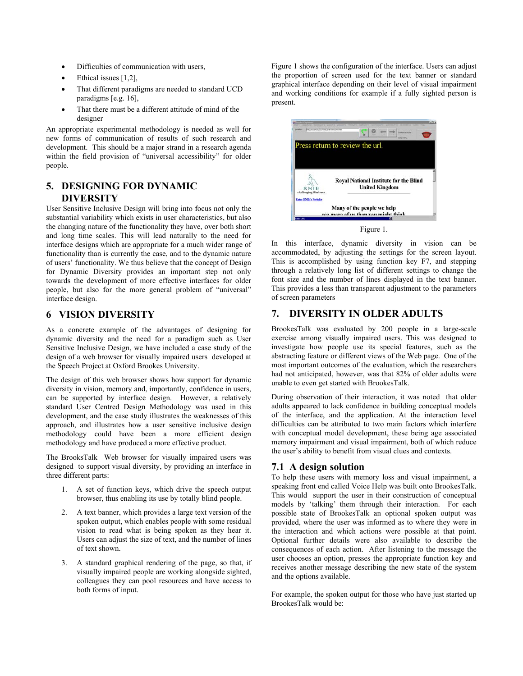- Difficulties of communication with users,
- Ethical issues  $[1,2]$ ,
- That different paradigms are needed to standard UCD paradigms [e.g. 16],
- That there must be a different attitude of mind of the designer

An appropriate experimental methodology is needed as well for new forms of communication of results of such research and development. This should be a major strand in a research agenda within the field provision of "universal accessibility" for older people.

# **5. DESIGNING FOR DYNAMIC DIVERSITY**

User Sensitive Inclusive Design will bring into focus not only the substantial variability which exists in user characteristics, but also the changing nature of the functionality they have, over both short and long time scales. This will lead naturally to the need for interface designs which are appropriate for a much wider range of functionality than is currently the case, and to the dynamic nature of users' functionality. We thus believe that the concept of Design for Dynamic Diversity provides an important step not only towards the development of more effective interfaces for older people, but also for the more general problem of "universal" interface design.

## **6 VISION DIVERSITY**

As a concrete example of the advantages of designing for dynamic diversity and the need for a paradigm such as User Sensitive Inclusive Design, we have included a case study of the design of a web browser for visually impaired users developed at the Speech Project at Oxford Brookes University.

The design of this web browser shows how support for dynamic diversity in vision, memory and, importantly, confidence in users, can be supported by interface design. However, a relatively standard User Centred Design Methodology was used in this development, and the case study illustrates the weaknesses of this approach, and illustrates how a user sensitive inclusive design methodology could have been a more efficient design methodology and have produced a more effective product.

The BrooksTalk Web browser for visually impaired users was designed to support visual diversity, by providing an interface in three different parts:

- 1. A set of function keys, which drive the speech output browser, thus enabling its use by totally blind people.
- 2. A text banner, which provides a large text version of the spoken output, which enables people with some residual vision to read what is being spoken as they hear it. Users can adjust the size of text, and the number of lines of text shown.
- 3. A standard graphical rendering of the page, so that, if visually impaired people are working alongside sighted, colleagues they can pool resources and have access to both forms of input.

Figure 1 shows the configuration of the interface. Users can adjust the proportion of screen used for the text banner or standard graphical interface depending on their level of visual impairment and working conditions for example if a fully sighted person is present.



Figure 1.

In this interface, dynamic diversity in vision can be accommodated, by adjusting the settings for the screen layout. This is accomplished by using function key F7, and stepping through a relatively long list of different settings to change the font size and the number of lines displayed in the text banner. This provides a less than transparent adjustment to the parameters of screen parameters

## **7. DIVERSITY IN OLDER ADULTS**

BrookesTalk was evaluated by 200 people in a large-scale exercise among visually impaired users. This was designed to investigate how people use its special features, such as the abstracting feature or different views of the Web page. One of the most important outcomes of the evaluation, which the researchers had not anticipated, however, was that 82% of older adults were unable to even get started with BrookesTalk.

During observation of their interaction, it was noted that older adults appeared to lack confidence in building conceptual models of the interface, and the application. At the interaction level difficulties can be attributed to two main factors which interfere with conceptual model development, these being age associated memory impairment and visual impairment, both of which reduce the user's ability to benefit from visual clues and contexts.

#### **7.1 A design solution**

To help these users with memory loss and visual impairment, a speaking front end called Voice Help was built onto BrookesTalk. This would support the user in their construction of conceptual models by 'talking' them through their interaction. For each possible state of BrookesTalk an optional spoken output was provided, where the user was informed as to where they were in the interaction and which actions were possible at that point. Optional further details were also available to describe the consequences of each action. After listening to the message the user chooses an option, presses the appropriate function key and receives another message describing the new state of the system and the options available.

For example, the spoken output for those who have just started up BrookesTalk would be: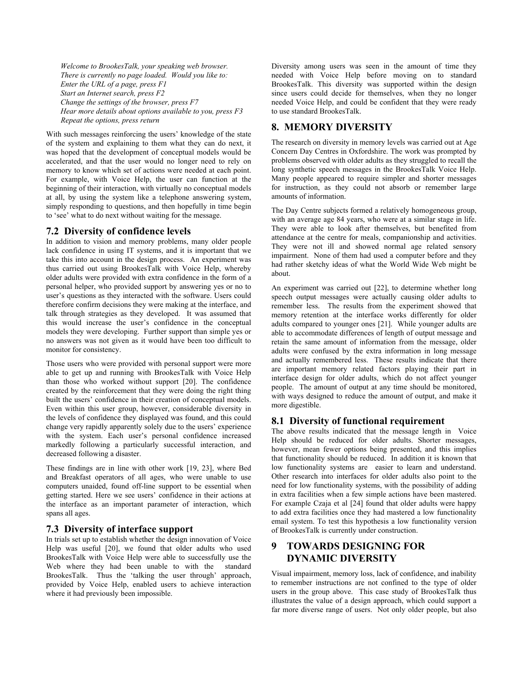*Welcome to BrookesTalk, your speaking web browser. There is currently no page loaded. Would you like to: Enter the URL of a page, press F1 Start an Internet search, press F2 Change the settings of the browser, press F7 Hear more details about options available to you, press F3 Repeat the options, press return*

With such messages reinforcing the users' knowledge of the state of the system and explaining to them what they can do next, it was hoped that the development of conceptual models would be accelerated, and that the user would no longer need to rely on memory to know which set of actions were needed at each point. For example, with Voice Help, the user can function at the beginning of their interaction, with virtually no conceptual models at all, by using the system like a telephone answering system, simply responding to questions, and then hopefully in time begin to 'see' what to do next without waiting for the message.

#### **7.2 Diversity of confidence levels**

In addition to vision and memory problems, many older people lack confidence in using IT systems, and it is important that we take this into account in the design process. An experiment was thus carried out using BrookesTalk with Voice Help, whereby older adults were provided with extra confidence in the form of a personal helper, who provided support by answering yes or no to user's questions as they interacted with the software. Users could therefore confirm decisions they were making at the interface, and talk through strategies as they developed. It was assumed that this would increase the user's confidence in the conceptual models they were developing. Further support than simple yes or no answers was not given as it would have been too difficult to monitor for consistency.

Those users who were provided with personal support were more able to get up and running with BrookesTalk with Voice Help than those who worked without support [20]. The confidence created by the reinforcement that they were doing the right thing built the users' confidence in their creation of conceptual models. Even within this user group, however, considerable diversity in the levels of confidence they displayed was found, and this could change very rapidly apparently solely due to the users' experience with the system. Each user's personal confidence increased markedly following a particularly successful interaction, and decreased following a disaster.

These findings are in line with other work [19, 23], where Bed and Breakfast operators of all ages, who were unable to use computers unaided, found off-line support to be essential when getting started. Here we see users' confidence in their actions at the interface as an important parameter of interaction, which spans all ages.

#### **7.3 Diversity of interface support**

In trials set up to establish whether the design innovation of Voice Help was useful [20], we found that older adults who used BrookesTalk with Voice Help were able to successfully use the Web where they had been unable to with the standard BrookesTalk. Thus the 'talking the user through' approach, provided by Voice Help, enabled users to achieve interaction where it had previously been impossible.

Diversity among users was seen in the amount of time they needed with Voice Help before moving on to standard BrookesTalk. This diversity was supported within the design since users could decide for themselves, when they no longer needed Voice Help, and could be confident that they were ready to use standard BrookesTalk.

### **8. MEMORY DIVERSITY**

The research on diversity in memory levels was carried out at Age Concern Day Centres in Oxfordshire. The work was prompted by problems observed with older adults as they struggled to recall the long synthetic speech messages in the BrookesTalk Voice Help. Many people appeared to require simpler and shorter messages for instruction, as they could not absorb or remember large amounts of information.

The Day Centre subjects formed a relatively homogeneous group, with an average age 84 years, who were at a similar stage in life. They were able to look after themselves, but benefited from attendance at the centre for meals, companionship and activities. They were not ill and showed normal age related sensory impairment. None of them had used a computer before and they had rather sketchy ideas of what the World Wide Web might be about.

An experiment was carried out [22], to determine whether long speech output messages were actually causing older adults to remember less. The results from the experiment showed that memory retention at the interface works differently for older adults compared to younger ones [21]. While younger adults are able to accommodate differences of length of output message and retain the same amount of information from the message, older adults were confused by the extra information in long message and actually remembered less. These results indicate that there are important memory related factors playing their part in interface design for older adults, which do not affect younger people. The amount of output at any time should be monitored, with ways designed to reduce the amount of output, and make it more digestible.

#### **8.1 Diversity of functional requirement**

The above results indicated that the message length in Voice Help should be reduced for older adults. Shorter messages, however, mean fewer options being presented, and this implies that functionality should be reduced. In addition it is known that low functionality systems are easier to learn and understand. Other research into interfaces for older adults also point to the need for low functionality systems, with the possibility of adding in extra facilities when a few simple actions have been mastered. For example Czaja et al [24] found that older adults were happy to add extra facilities once they had mastered a low functionality email system. To test this hypothesis a low functionality version of BrookesTalk is currently under construction.

# **9 TOWARDS DESIGNING FOR DYNAMIC DIVERSITY**

Visual impairment, memory loss, lack of confidence, and inability to remember instructions are not confined to the type of older users in the group above. This case study of BrookesTalk thus illustrates the value of a design approach, which could support a far more diverse range of users. Not only older people, but also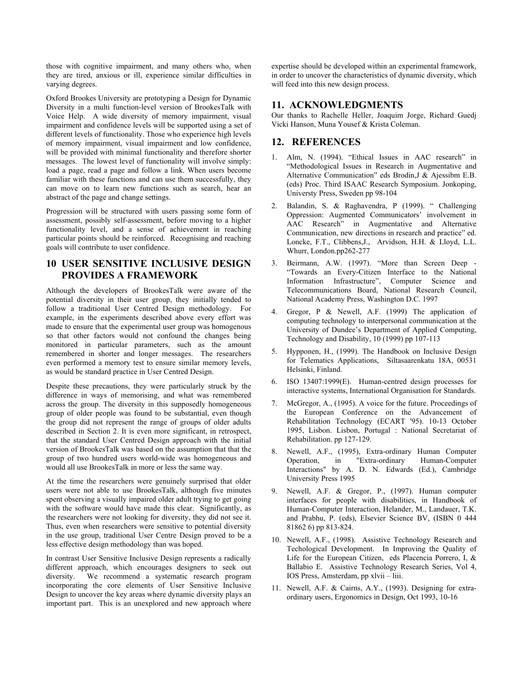those with cognitive impairment, and many others who, when they are tired, anxious or ill, experience similar difficulties in varying degrees.

Oxford Brookes University are prototyping a Design for Dynamic Diversity in a multi function-level version of BrookesTalk with Voice Help. A wide diversity of memory impairment, visual impairment and confidence levels will be supported using a set of different levels of functionality. Those who experience high levels of memory impairment, visual impairment and low confidence, will be provided with minimal functionality and therefore shorter messages. The lowest level of functionality will involve simply: load a page, read a page and follow a link. When users become familiar with these functions and can use them successfully, they can move on to learn new functions such as search, hear an abstract of the page and change settings.

Progression will be structured with users passing some form of assessment, possibly self-assessment, before moving to a higher functionality level, and a sense of achievement in reaching particular points should be reinforced. Recognising and reaching goals will contribute to user confidence.

# **10 USER SENSITIVE INCLUSIVE DESIGN PROVIDES A FRAMEWORK**

Although the developers of BrookesTalk were aware of the potential diversity in their user group, they initially tended to follow a traditional User Centred Design methodology. For example, in the experiments described above every effort was made to ensure that the experimental user group was homogenous so that other factors would not confound the changes being monitored in particular parameters, such as the amount remembered in shorter and longer messages. The researchers even performed a memory test to ensure similar memory levels, as would be standard practice in User Centred Design.

Despite these precautions, they were particularly struck by the difference in ways of memorising, and what was remembered across the group. The diversity in this supposedly homogeneous group of older people was found to be substantial, even though the group did not represent the range of groups of older adults described in Section 2. It is even more significant, in retrospect, that the standard User Centred Design approach with the initial version of BrookesTalk was based on the assumption that that the group of two hundred users world-wide was homogeneous and would all use BrookesTalk in more or less the same way.

At the time the researchers were genuinely surprised that older users were not able to use BrookesTalk, although five minutes spent observing a visually impaired older adult trying to get going with the software would have made this clear. Significantly, as the researchers were not looking for diversity, they did not see it. Thus, even when researchers were sensitive to potential diversity in the use group, traditional User Centre Design proved to be a less effective design methodology than was hoped.

In contrast User Sensitive Inclusive Design represents a radically different approach, which encourages designers to seek out diversity. We recommend a systematic research program incorporating the core elements of User Sensitive Inclusive Design to uncover the key areas where dynamic diversity plays an important part. This is an unexplored and new approach where expertise should be developed within an experimental framework, in order to uncover the characteristics of dynamic diversity, which will feed into this new design process.

#### **11. ACKNOWLEDGMENTS**

Our thanks to Rachelle Heller, Joaquim Jorge, Richard Guedj Vicki Hanson, Muna Yousef & Krista Coleman.

#### **12. REFERENCES**

- 1. Alm, N. (1994). "Ethical Issues in AAC research" in "Methodological Issues in Research in Augmentative and Alternative Communication" eds Brodin,J & Ajessibm E.B. (eds) Proc. Third ISAAC Research Symposium. Jonkoping, Universty Press, Sweden pp 98-104
- 2. Balandin, S. & Raghavendra, P (1999). " Challenging Oppression: Augmented Communicators' involvement in AAC Research" in Augmentative and Alternative Communication, new directions in research and practice" ed. Loncke, F.T., Clibbens,J., Arvidson, H.H. & Lloyd, L.L. Whurr, London.pp262-277
- 3. Beirmann, A.W. (1997). "More than Screen Deep "Towards an Every-Citizen Interface to the National Information Infrastructure", Computer Science and Telecommunications Board, National Research Council, National Academy Press, Washington D.C. 1997
- 4. Gregor, P & Newell, A.F. (1999) The application of computing technology to interpersonal communication at the University of Dundee's Department of Applied Computing, Technology and Disability, 10 (1999) pp 107-113
- Hypponen, H., (1999). The Handbook on Inclusive Design for Telematics Applications, Siltasaarenkatu 18A, 00531 Helsinki, Finland.
- 6. ISO 13407:1999(E). Human-centred design processes for interactive systems, International Organisation for Standards.
- 7. McGregor, A., (1995). A voice for the future. Proceedings of the European Conference on the Advancement of Rehabilitation Technology (ECART '95). 10-13 October 1995, Lisbon. Lisbon, Portugal : National Secretariat of Rehabilitation. pp 127-129.
- 8. Newell, A.F., (1995), Extra-ordinary Human Computer Operation, in "Extra-ordinary Human-Computer Interactions" by A. D. N. Edwards (Ed.), Cambridge University Press 1995
- Newell, A.F. & Gregor, P., (1997). Human computer interfaces for people with disabilities, in Handbook of Human-Computer Interaction, Helander, M., Landauer, T.K. and Prabhu, P. (eds), Elsevier Science BV, (ISBN 0 444 81862 6) pp 813-824.
- 10. Newell, A.F., (1998). Assistive Technology Research and Techological Development. In Improving the Quality of Life for the European Citizen, eds Placencia Porrero, I, & Ballabio E. Assistive Technology Research Series, Vol 4, IOS Press, Amsterdam, pp xlvii – liii.
- 11. Newell, A.F. & Cairns, A.Y., (1993). Designing for extraordinary users, Ergonomics in Design, Oct 1993, 10-16